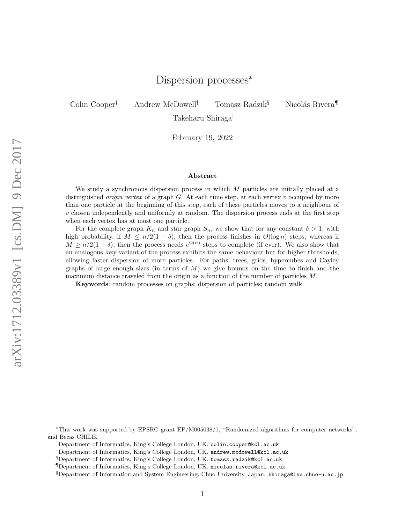# Dispersion processes<sup>\*</sup>

Colin Cooper<sup>†</sup> Andrew McDowell<sup>‡</sup> Tomasz Radzik<sup>§</sup> Nicolás Rivera

Takeharu Shiraga

February 19, 2022

#### Abstract

We study a synchronous dispersion process in which  $M$  particles are initially placed at a distinguished *origin vertex* of a graph  $G$ . At each time step, at each vertex  $v$  occupied by more than one particle at the beginning of this step, each of these particles moves to a neighbour of  $v$  chosen independently and uniformly at random. The dispersion process ends at the first step when each vertex has at most one particle.

For the complete graph  $K_n$  and star graph  $S_n$ , we show that for any constant  $\delta > 1$ , with high probability, if  $M \leq n/2(1-\delta)$ , then the process finishes in  $O(\log n)$  steps, whereas if  $M \geq n/2(1+\delta)$ , then the process needs  $e^{\Omega(n)}$  steps to complete (if ever). We also show that an analogous lazy variant of the process exhibits the same behaviour but for higher thresholds, allowing faster dispersion of more particles. For paths, trees, grids, hypercubes and Cayley graphs of large enough sizes (in terms of  $M$ ) we give bounds on the time to finish and the maximum distance traveled from the origin as a function of the number of particles M.

Keywords: random processes on graphs; dispersion of particles; random walk

<sup>∗</sup>This work was supported by EPSRC grant EP/M005038/1, "Randomized algorithms for computer networks", and Becas CHILE.

<sup>†</sup>Department of Informatics, King's College London, UK. colin.cooper@kcl.ac.uk

<sup>‡</sup>Department of Informatics, King's College London, UK. andrew.mcdowell@kcl.ac.uk

<sup>§</sup>Department of Informatics, King's College London, UK. tomasz.radzik@kcl.ac.uk

<sup>¶</sup>Department of Informatics, King's College London, UK. nicolas.rivera@kcl.ac.uk

<sup>k</sup>Department of Information and System Engineering, Chuo University, Japan. shiraga@ise.chuo-u.ac.jp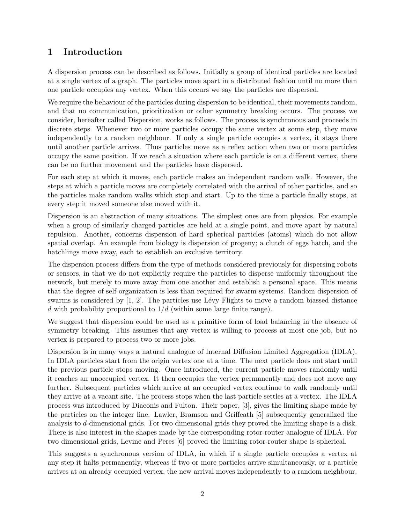# 1 Introduction

A dispersion process can be described as follows. Initially a group of identical particles are located at a single vertex of a graph. The particles move apart in a distributed fashion until no more than one particle occupies any vertex. When this occurs we say the particles are dispersed.

We require the behaviour of the particles during dispersion to be identical, their movements random, and that no communication, prioritization or other symmetry breaking occurs. The process we consider, hereafter called Dispersion, works as follows. The process is synchronous and proceeds in discrete steps. Whenever two or more particles occupy the same vertex at some step, they move independently to a random neighbour. If only a single particle occupies a vertex, it stays there until another particle arrives. Thus particles move as a reflex action when two or more particles occupy the same position. If we reach a situation where each particle is on a different vertex, there can be no further movement and the particles have dispersed.

For each step at which it moves, each particle makes an independent random walk. However, the steps at which a particle moves are completely correlated with the arrival of other particles, and so the particles make random walks which stop and start. Up to the time a particle finally stops, at every step it moved someone else moved with it.

Dispersion is an abstraction of many situations. The simplest ones are from physics. For example when a group of similarly charged particles are held at a single point, and move apart by natural repulsion. Another, concerns dispersion of hard spherical particles (atoms) which do not allow spatial overlap. An example from biology is dispersion of progeny; a clutch of eggs hatch, and the hatchlings move away, each to establish an exclusive territory.

The dispersion process differs from the type of methods considered previously for dispersing robots or sensors, in that we do not explicitly require the particles to disperse uniformly throughout the network, but merely to move away from one another and establish a personal space. This means that the degree of self-organization is less than required for swarm systems. Random dispersion of swarms is considered by  $[1, 2]$ . The particles use Lévy Flights to move a random biassed distance d with probability proportional to  $1/d$  (within some large finite range).

We suggest that dispersion could be used as a primitive form of load balancing in the absence of symmetry breaking. This assumes that any vertex is willing to process at most one job, but no vertex is prepared to process two or more jobs.

Dispersion is in many ways a natural analogue of Internal Diffusion Limited Aggregation (IDLA). In IDLA particles start from the origin vertex one at a time. The next particle does not start until the previous particle stops moving. Once introduced, the current particle moves randomly until it reaches an unoccupied vertex. It then occupies the vertex permanently and does not move any further. Subsequent particles which arrive at an occupied vertex continue to walk randomly until they arrive at a vacant site. The process stops when the last particle settles at a vertex. The IDLA process was introduced by Diaconis and Fulton. Their paper, [3], gives the limiting shape made by the particles on the integer line. Lawler, Bramson and Griffeath [5] subsequently generalized the analysis to d-dimensional grids. For two dimensional grids they proved the limiting shape is a disk. There is also interest in the shapes made by the corresponding rotor-router analogue of IDLA. For two dimensional grids, Levine and Peres [6] proved the limiting rotor-router shape is spherical.

This suggests a synchronous version of IDLA, in which if a single particle occupies a vertex at any step it halts permanently, whereas if two or more particles arrive simultaneously, or a particle arrives at an already occupied vertex, the new arrival moves independently to a random neighbour.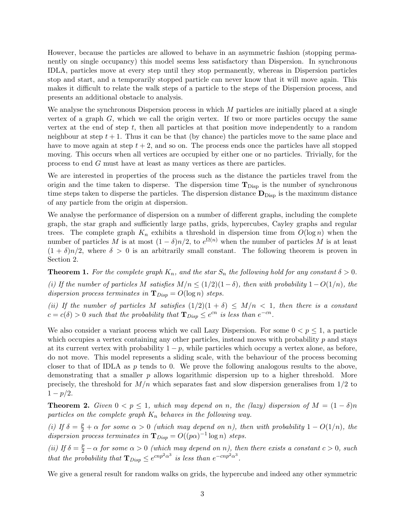However, because the particles are allowed to behave in an asymmetric fashion (stopping permanently on single occupancy) this model seems less satisfactory than Dispersion. In synchronous IDLA, particles move at every step until they stop permanently, whereas in Dispersion particles stop and start, and a temporarily stopped particle can never know that it will move again. This makes it difficult to relate the walk steps of a particle to the steps of the Dispersion process, and presents an additional obstacle to analysis.

We analyse the synchronous Dispersion process in which  $M$  particles are initially placed at a single vertex of a graph  $G$ , which we call the origin vertex. If two or more particles occupy the same vertex at the end of step  $t$ , then all particles at that position move independently to a random neighbour at step  $t + 1$ . Thus it can be that (by chance) the particles move to the same place and have to move again at step  $t + 2$ , and so on. The process ends once the particles have all stopped moving. This occurs when all vertices are occupied by either one or no particles. Trivially, for the process to end G must have at least as many vertices as there are particles.

We are interested in properties of the process such as the distance the particles travel from the origin and the time taken to disperse. The dispersion time  $T_{\text{Disp}}$  is the number of synchronous time steps taken to disperse the particles. The dispersion distance  $\mathbf{D}_{\text{Disp}}$  is the maximum distance of any particle from the origin at dispersion.

We analyse the performance of dispersion on a number of different graphs, including the complete graph, the star graph and sufficiently large paths, grids, hypercubes, Cayley graphs and regular trees. The complete graph  $K_n$  exhibits a threshold in dispersion time from  $O(\log n)$  when the number of particles M is at most  $(1 - \delta)n/2$ , to  $e^{\Omega(n)}$  when the number of particles M is at least  $(1 + \delta)n/2$ , where  $\delta > 0$  is an arbitrarily small constant. The following theorem is proven in Section 2.

**Theorem 1.** For the complete graph  $K_n$ , and the star  $S_n$  the following hold for any constant  $\delta > 0$ .

(i) If the number of particles M satisfies  $M/n \leq (1/2)(1-\delta)$ , then with probability  $1-O(1/n)$ , the dispersion process terminates in  $\mathbf{T}_{Disp} = O(\log n)$  steps.

(ii) If the number of particles M satisfies  $(1/2)(1 + \delta) \leq M/n < 1$ , then there is a constant  $c = c(\delta) > 0$  such that the probability that  $\mathbf{T}_{Disp} \leq e^{cn}$  is less than  $e^{-cn}$ .

We also consider a variant process which we call Lazy Dispersion. For some  $0 < p \leq 1$ , a particle which occupies a vertex containing any other particles, instead moves with probability  $p$  and stays at its current vertex with probability  $1 - p$ , while particles which occupy a vertex alone, as before, do not move. This model represents a sliding scale, with the behaviour of the process becoming closer to that of IDLA as  $p$  tends to 0. We prove the following analogous results to the above, demonstrating that a smaller p allows logarithmic dispersion up to a higher threshold. More precisely, the threshold for  $M/n$  which separates fast and slow dispersion generalises from  $1/2$  to  $1 - p/2$ .

**Theorem 2.** Given  $0 < p \leq 1$ , which may depend on n, the (lazy) dispersion of  $M = (1 - \delta)n$ particles on the complete graph  $K_n$  behaves in the following way.

(i) If  $\delta = \frac{p}{2} + \alpha$  for some  $\alpha > 0$  (which may depend on n), then with probability  $1 - O(1/n)$ , the dispersion process terminates in  $\mathbf{T}_{Disp} = O((p\alpha)^{-1} \log n)$  steps.

(ii) If  $\delta = \frac{p}{2} - \alpha$  for some  $\alpha > 0$  (which may depend on n), then there exists a constant  $c > 0$ , such that the probability that  $\mathbf{T}_{Disp} \leq e^{cnp^2\alpha^3}$  is less than  $e^{-cnp^2\alpha^3}$ .

We give a general result for random walks on grids, the hypercube and indeed any other symmetric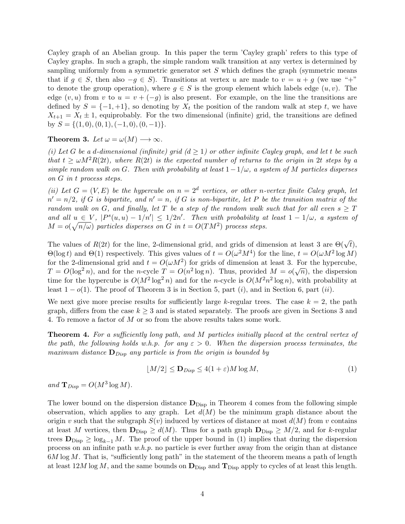Cayley graph of an Abelian group. In this paper the term 'Cayley graph' refers to this type of Cayley graphs. In such a graph, the simple random walk transition at any vertex is determined by sampling uniformly from a symmetric generator set  $S$  which defines the graph (symmetric means that if  $g \in S$ , then also  $-g \in S$ ). Transitions at vertex u are made to  $v = u + g$  (we use "+" to denote the group operation), where  $g \in S$  is the group element which labels edge  $(u, v)$ . The edge  $(v, u)$  from v to  $u = v + (-g)$  is also present. For example, on the line the transitions are defined by  $S = \{-1, +1\}$ , so denoting by  $X_t$  the position of the random walk at step t, we have  $X_{t+1} = X_t \pm 1$ , equiprobably. For the two dimensional (infinite) grid, the transitions are defined by  $S = \{(1, 0), (0, 1), (-1, 0), (0, -1)\}.$ 

Theorem 3. Let  $\omega = \omega(M) \longrightarrow \infty$ .

(i) Let G be a d-dimensional (infinite) grid  $(d \ge 1)$  or other infinite Cayley graph, and let t be such that  $t > \omega M^2 R(2t)$ , where  $R(2t)$  is the expected number of returns to the origin in 2t steps by a simple random walk on G. Then with probability at least  $1-1/\omega$ , a system of M particles disperses on G in t process steps.

(ii) Let  $G = (V, E)$  be the hypercube on  $n = 2<sup>d</sup>$  vertices, or other n-vertex finite Caley graph, let  $n' = n/2$ , if G is bipartite, and  $n' = n$ , if G is non-bipartite, let P be the transition matrix of the random walk on G, and finally, let T be a step of the random walk such that for all even  $s \geq T$ and all  $u \in V$ ,  $|P^{s}(u, u) - 1/n'| \leq 1/2n'$ . Then with probability at least  $1 - 1/\omega$ , a system of  $M = o(\sqrt{n/\omega})$  particles disperses on G in  $t = O(TM^2)$  process steps.

The values of  $R(2t)$  for the line, 2-dimensional grid, and grids of dimension at least 3 are  $\Theta(\sqrt{t})$ ,  $\Theta(\log t)$  and  $\Theta(1)$  respectively. This gives values of  $t = O(\omega^2 M^4)$  for the line,  $t = O(\omega M^2 \log M)$ for the 2-dimensional grid and  $t = O(\omega M^2)$  for grids of dimension at least 3. For the hypercube, for the 2-dimensional grid and  $t = O(\omega M)$  for grids of dimension at least 3. For the hypercube,<br>  $T = O(\log^2 n)$ , and for the *n*-cycle  $T = O(n^2 \log n)$ . Thus, provided  $M = o(\sqrt{n})$ , the dispersion time for the hypercube is  $O(M^2 \log^2 n)$  and for the n-cycle is  $O(M^2 n^2 \log n)$ , with probability at least  $1 - o(1)$ . The proof of Theorem 3 is in Section 5, part (i), and in Section 6, part (ii).

We next give more precise results for sufficiently large k-regular trees. The case  $k = 2$ , the path graph, differs from the case  $k \geq 3$  and is stated separately. The proofs are given in Sections 3 and 4. To remove a factor of M or so from the above results takes some work.

Theorem 4. For a sufficiently long path, and M particles initially placed at the central vertex of the path, the following holds w.h.p. for any  $\varepsilon > 0$ . When the dispersion process terminates, the maximum distance  $\mathbf{D}_{Disp}$  any particle is from the origin is bounded by

$$
\lfloor M/2 \rfloor \le \mathbf{D}_{\text{Disp}} \le 4(1+\varepsilon)M \log M,\tag{1}
$$

and  $\mathbf{T}_{Disp} = O(M^3 \log M)$ .

The lower bound on the dispersion distance  $\mathbf{D}_{\text{Disp}}$  in Theorem 4 comes from the following simple observation, which applies to any graph. Let  $d(M)$  be the minimum graph distance about the origin v such that the subgraph  $S(v)$  induced by vertices of distance at most  $d(M)$  from v contains at least M vertices, then  $\mathbf{D}_{\text{Disp}} \geq d(M)$ . Thus for a path graph  $\mathbf{D}_{\text{Disp}} \geq M/2$ , and for k-regular trees  $\mathbf{D}_{\text{Disp}} \geq \log_{k-1} M$ . The proof of the upper bound in (1) implies that during the dispersion process on an infinite path  $w.h.p.$  no particle is ever further away from the origin than at distance  $6M \log M$ . That is, "sufficiently long path" in the statement of the theorem means a path of length at least  $12M \log M$ , and the same bounds on  $\mathbf{D}_{\text{Disp}}$  and  $\mathbf{T}_{\text{Disp}}$  apply to cycles of at least this length.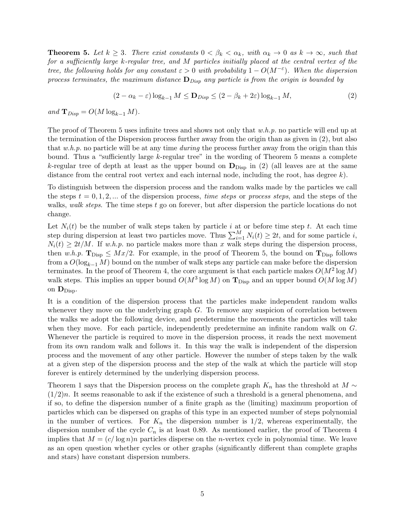**Theorem 5.** Let  $k \geq 3$ . There exist constants  $0 < \beta_k < \alpha_k$ , with  $\alpha_k \to 0$  as  $k \to \infty$ , such that for a sufficiently large k-regular tree, and M particles initially placed at the central vertex of the tree, the following holds for any constant  $\varepsilon > 0$  with probability  $1 - O(M^{-\varepsilon})$ . When the dispersion process terminates, the maximum distance  $\mathbf{D}_{Disp}$  any particle is from the origin is bounded by

$$
(2 - \alpha_k - \varepsilon) \log_{k-1} M \le \mathbf{D}_{\text{Disp}} \le (2 - \beta_k + 2\varepsilon) \log_{k-1} M,\tag{2}
$$

and  $\mathbf{T}_{Disp} = O(M \log_{k-1} M)$ .

The proof of Theorem 5 uses infinite trees and shows not only that  $w.h.p$ . no particle will end up at the termination of the Dispersion process further away from the origin than as given in (2), but also that  $w.h.p.$  no particle will be at any time during the process further away from the origin than this bound. Thus a "sufficiently large k-regular tree" in the wording of Theorem 5 means a complete k-regular tree of depth at least as the upper bound on  $\mathbf{D}_{\text{Disp}}$  in (2) (all leaves are at the same distance from the central root vertex and each internal node, including the root, has degree  $k$ ).

To distinguish between the dispersion process and the random walks made by the particles we call the steps  $t = 0, 1, 2, ...$  of the dispersion process, *time steps* or *process steps*, and the steps of the walks, walk steps. The time steps t go on forever, but after dispersion the particle locations do not change.

Let  $N_i(t)$  be the number of walk steps taken by particle i at or before time step t. At each time step during dispersion at least two particles move. Thus  $\sum_{i=1}^{M} N_i(t) \geq 2t$ , and for some particle i,  $N_i(t) \geq 2t/M$ . If w.h.p. no particle makes more than x walk steps during the dispersion process, then w.h.p.  $\mathbf{T}_{\text{Disp}} \leq Mx/2$ . For example, in the proof of Theorem 5, the bound on  $\mathbf{T}_{\text{Disp}}$  follows from a  $O(\log_{k-1} M)$  bound on the number of walk steps any particle can make before the dispersion terminates. In the proof of Theorem 4, the core argument is that each particle makes  $O(M^2 \log M)$ walk steps. This implies an upper bound  $O(M^3 \log M)$  on  $\mathbf{T}_{\text{Disp}}$  and an upper bound  $O(M \log M)$ on  $D_{\text{Disp}}$ .

It is a condition of the dispersion process that the particles make independent random walks whenever they move on the underlying graph  $G$ . To remove any suspicion of correlation between the walks we adopt the following device, and predetermine the movements the particles will take when they move. For each particle, independently predetermine an infinite random walk on G. Whenever the particle is required to move in the dispersion process, it reads the next movement from its own random walk and follows it. In this way the walk is independent of the dispersion process and the movement of any other particle. However the number of steps taken by the walk at a given step of the dispersion process and the step of the walk at which the particle will stop forever is entirely determined by the underlying dispersion process.

Theorem 1 says that the Dispersion process on the complete graph  $K_n$  has the threshold at  $M \sim$  $(1/2)n$ . It seems reasonable to ask if the existence of such a threshold is a general phenomena, and if so, to define the dispersion number of a finite graph as the (limiting) maximum proportion of particles which can be dispersed on graphs of this type in an expected number of steps polynomial in the number of vertices. For  $K_n$  the dispersion number is  $1/2$ , whereas experimentally, the dispersion number of the cycle  $C_n$  is at least 0.89. As mentioned earlier, the proof of Theorem 4 implies that  $M = (c/\log n)n$  particles disperse on the *n*-vertex cycle in polynomial time. We leave as an open question whether cycles or other graphs (significantly different than complete graphs and stars) have constant dispersion numbers.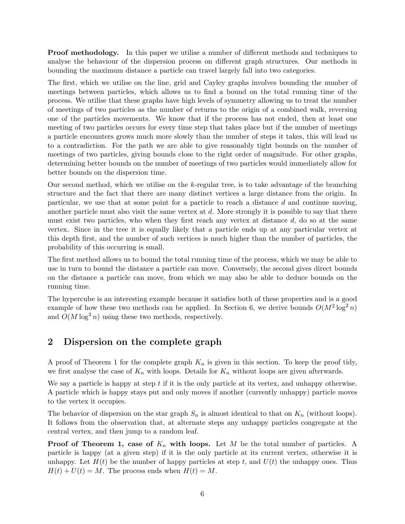Proof methodology. In this paper we utilise a number of different methods and techniques to analyse the behaviour of the dispersion process on different graph structures. Our methods in bounding the maximum distance a particle can travel largely fall into two categories.

The first, which we utilise on the line, grid and Cayley graphs involves bounding the number of meetings between particles, which allows us to find a bound on the total running time of the process. We utilise that these graphs have high levels of symmetry allowing us to treat the number of meetings of two particles as the number of returns to the origin of a combined walk, reversing one of the particles movements. We know that if the process has not ended, then at least one meeting of two particles occurs for every time step that takes place but if the number of meetings a particle encounters grows much more slowly than the number of steps it takes, this will lead us to a contradiction. For the path we are able to give reasonably tight bounds on the number of meetings of two particles, giving bounds close to the right order of magnitude. For other graphs, determining better bounds on the number of meetings of two particles would immediately allow for better bounds on the dispersion time.

Our second method, which we utilise on the k-regular tree, is to take advantage of the branching structure and the fact that there are many distinct vertices a large distance from the origin. In particular, we use that at some point for a particle to reach a distance d and continue moving, another particle must also visit the same vertex at  $d$ . More strongly it is possible to say that there must exist two particles, who when they first reach any vertex at distance  $d$ , do so at the same vertex. Since in the tree it is equally likely that a particle ends up at any particular vertex at this depth first, and the number of such vertices is much higher than the number of particles, the probability of this occurring is small.

The first method allows us to bound the total running time of the process, which we may be able to use in turn to bound the distance a particle can move. Conversely, the second gives direct bounds on the distance a particle can move, from which we may also be able to deduce bounds on the running time.

The hypercube is an interesting example because it satisfies both of these properties and is a good example of how these two methods can be applied. In Section 6, we derive bounds  $O(M^2 \log^2 n)$ and  $O(M \log^3 n)$  using these two methods, respectively.

## 2 Dispersion on the complete graph

A proof of Theorem 1 for the complete graph  $K_n$  is given in this section. To keep the proof tidy, we first analyse the case of  $K_n$  with loops. Details for  $K_n$  without loops are given afterwards.

We say a particle is happy at step  $t$  if it is the only particle at its vertex, and unhappy otherwise. A particle which is happy stays put and only moves if another (currently unhappy) particle moves to the vertex it occupies.

The behavior of dispersion on the star graph  $S_n$  is almost identical to that on  $K_n$  (without loops). It follows from the observation that, at alternate steps any unhappy particles congregate at the central vertex, and then jump to a random leaf.

**Proof of Theorem 1, case of**  $K_n$  **with loops.** Let M be the total number of particles. A particle is happy (at a given step) if it is the only particle at its current vertex, otherwise it is unhappy. Let  $H(t)$  be the number of happy particles at step t, and  $U(t)$  the unhappy ones. Thus  $H(t) + U(t) = M$ . The process ends when  $H(t) = M$ .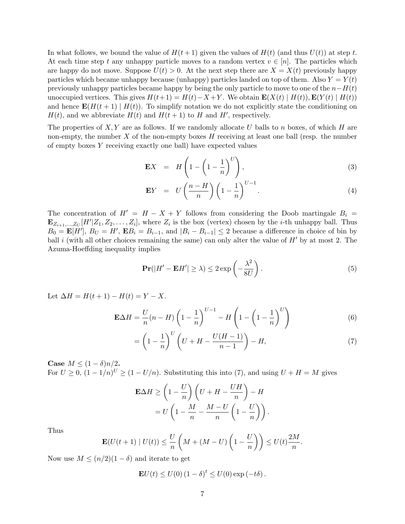In what follows, we bound the value of  $H(t+1)$  given the values of  $H(t)$  (and thus  $U(t)$ ) at step t. At each time step t any unhappy particle moves to a random vertex  $v \in [n]$ . The particles which are happy do not move. Suppose  $U(t) > 0$ . At the next step there are  $X = X(t)$  previously happy particles which became unhappy because (unhappy) particles landed on top of them. Also  $Y = Y(t)$ previously unhappy particles became happy by being the only particle to move to one of the  $n-H(t)$ unoccupied vertices. This gives  $H(t+1) = H(t) - X + Y$ . We obtain  $\mathbf{E}(X(t) | H(t))$ ,  $\mathbf{E}(Y(t) | H(t))$ and hence  $\mathbf{E}(H(t+1) | H(t))$ . To simplify notation we do not explicitly state the conditioning on  $H(t)$ , and we abbreviate  $H(t)$  and  $H(t+1)$  to H and H', respectively.

The properties of  $X, Y$  are as follows. If we randomly allocate U balls to n boxes, of which H are non-empty, the number  $X$  of the non-empty boxes  $H$  receiving at least one ball (resp. the number of empty boxes Y receiving exactly one ball) have expected values

$$
\mathbf{E}X = H\left(1 - \left(1 - \frac{1}{n}\right)^U\right),\tag{3}
$$

$$
\mathbf{E}Y = U\left(\frac{n-H}{n}\right)\left(1-\frac{1}{n}\right)^{U-1}.\tag{4}
$$

The concentration of  $H' = H - X + Y$  follows from considering the Doob martingale  $B_i =$  $\mathbf{E}_{Z_{i+1},...,Z_{U}}[H' | Z_1, Z_2,..., Z_i],$  where  $Z_i$  is the box (vertex) chosen by the *i*-th unhappy ball. Thus  $B_0 = \mathbf{E}[H'], B_U = H'$ ,  $\mathbf{E}[B_i] = B_{i-1}$ , and  $|B_i - B_{i-1}| \leq 2$  because a difference in choice of bin by ball i (with all other choices remaining the same) can only alter the value of  $H'$  by at most 2. The Azuma-Hoeffding inequality implies

$$
\mathbf{Pr}(|H' - \mathbf{E}H'| \ge \lambda) \le 2 \exp\left(-\frac{\lambda^2}{8U}\right). \tag{5}
$$

Let  $\Delta H = H(t+1) - H(t) = Y - X$ .

$$
\mathbf{E}\Delta H = \frac{U}{n}(n - H)\left(1 - \frac{1}{n}\right)^{U-1} - H\left(1 - \left(1 - \frac{1}{n}\right)^{U}\right) \tag{6}
$$

$$
=\left(1-\frac{1}{n}\right)^{U}\left(U+H-\frac{U(H-1)}{n-1}\right)-H,\tag{7}
$$

Case  $M \leq (1 - \delta)n/2$ . For  $U \geq 0$ ,  $(1 - 1/n)^U \geq (1 - U/n)$ . Substituting this into (7), and using  $U + H = M$  gives

$$
\mathbf{E}\Delta H \ge \left(1 - \frac{U}{n}\right)\left(U + H - \frac{UH}{n}\right) - H
$$
  
=  $U\left(1 - \frac{M}{n} - \frac{M - U}{n}\left(1 - \frac{U}{n}\right)\right).$ 

Thus

$$
\mathbf{E}(U(t+1) | U(t)) \leq \frac{U}{n} \left( M + (M-U) \left( 1 - \frac{U}{n} \right) \right) \leq U(t) \frac{2M}{n}.
$$

Now use  $M \leq (n/2)(1-\delta)$  and iterate to get

$$
\mathbf{E}U(t) \le U(0) (1 - \delta)^t \le U(0) \exp(-t\delta).
$$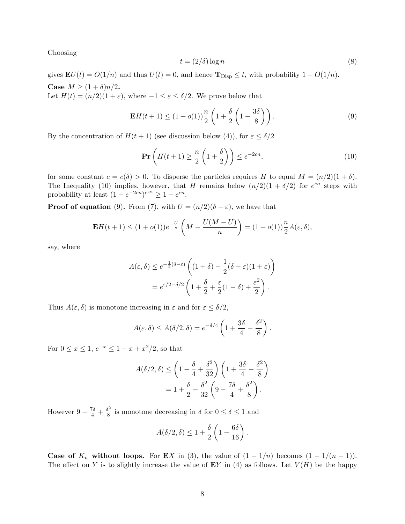Choosing

$$
t = (2/\delta) \log n \tag{8}
$$

gives  $\mathbf{E}U(t) = O(1/n)$  and thus  $U(t) = 0$ , and hence  $\mathbf{T}_{\text{Disp}} \leq t$ , with probability  $1 - O(1/n)$ . Case  $M \ge (1+\delta)n/2$ .

Let  $H(t) = (n/2)(1 + \varepsilon)$ , where  $-1 \leq \varepsilon \leq \delta/2$ . We prove below that

$$
\mathbf{E}H(t+1) \le (1+o(1))\frac{n}{2}\left(1+\frac{\delta}{2}\left(1-\frac{3\delta}{8}\right)\right). \tag{9}
$$

By the concentration of  $H(t + 1)$  (see discussion below (4)), for  $\varepsilon \leq \delta/2$ 

$$
\Pr\left(H(t+1) \ge \frac{n}{2}\left(1+\frac{\delta}{2}\right)\right) \le e^{-2cn},\tag{10}
$$

for some constant  $c = c(\delta) > 0$ . To disperse the particles requires H to equal  $M = (n/2)(1 + \delta)$ . The Inequality (10) implies, however, that H remains below  $(n/2)(1 + \delta/2)$  for  $e^{cn}$  steps with probability at least  $(1 - e^{-2cn})^{e^{cn}} \ge 1 - e^{cn}$ .

**Proof of equation** (9). From (7), with  $U = (n/2)(\delta - \varepsilon)$ , we have that

$$
\mathbf{E}H(t+1) \le (1+o(1))e^{-\frac{U}{n}}\left(M - \frac{U(M-U)}{n}\right) = (1+o(1))\frac{n}{2}A(\varepsilon,\delta),
$$

say, where

$$
A(\varepsilon, \delta) \le e^{-\frac{1}{2}(\delta - \varepsilon)} \left( (1 + \delta) - \frac{1}{2} (\delta - \varepsilon) (1 + \varepsilon) \right)
$$
  
=  $e^{\varepsilon/2 - \delta/2} \left( 1 + \frac{\delta}{2} + \frac{\varepsilon}{2} (1 - \delta) + \frac{\varepsilon^2}{2} \right).$ 

Thus  $A(\varepsilon, \delta)$  is monotone increasing in  $\varepsilon$  and for  $\varepsilon \leq \delta/2$ ,

$$
A(\varepsilon,\delta) \le A(\delta/2,\delta) = e^{-\delta/4} \left( 1 + \frac{3\delta}{4} - \frac{\delta^2}{8} \right).
$$

For  $0 \le x \le 1, e^{-x} \le 1 - x + x^2/2$ , so that

$$
A(\delta/2, \delta) \le \left(1 - \frac{\delta}{4} + \frac{\delta^2}{32}\right) \left(1 + \frac{3\delta}{4} - \frac{\delta^2}{8}\right)
$$

$$
= 1 + \frac{\delta}{2} - \frac{\delta^2}{32} \left(9 - \frac{7\delta}{4} + \frac{\delta^2}{8}\right).
$$

However  $9 - \frac{7\delta}{4} + \frac{\delta^2}{8}$  $\frac{3^2}{8}$  is monotone decreasing in  $\delta$  for  $0 \leq \delta \leq 1$  and

$$
A(\delta/2,\delta) \leq 1 + \frac{\delta}{2} \left( 1 - \frac{6\delta}{16} \right).
$$

**Case of**  $K_n$  without loops. For **E**X in (3), the value of  $(1 - 1/n)$  becomes  $(1 - 1/(n - 1))$ . The effect on Y is to slightly increase the value of  $EY$  in (4) as follows. Let  $V(H)$  be the happy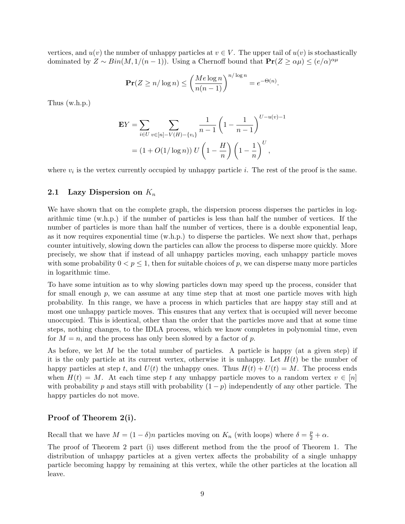vertices, and  $u(v)$  the number of unhappy particles at  $v \in V$ . The upper tail of  $u(v)$  is stochastically dominated by  $Z \sim Bin(M, 1/(n-1))$ . Using a Chernoff bound that  $\mathbf{Pr}(Z \ge \alpha \mu) \le (e/\alpha)^{\alpha \mu}$ 

$$
\Pr(Z \ge n/\log n) \le \left(\frac{Me\log n}{n(n-1)}\right)^{n/\log n} = e^{-\Theta(n)}.
$$

Thus (w.h.p.)

$$
\mathbf{E}Y = \sum_{i \in U} \sum_{v \in [n] - V(H) - \{v_i\}} \frac{1}{n - 1} \left( 1 - \frac{1}{n - 1} \right)^{U - u(v) - 1}
$$

$$
= (1 + O(1/\log n)) U \left( 1 - \frac{H}{n} \right) \left( 1 - \frac{1}{n} \right)^{U},
$$

where  $v_i$  is the vertex currently occupied by unhappy particle *i*. The rest of the proof is the same.

#### 2.1 Lazy Dispersion on  $K_n$

We have shown that on the complete graph, the dispersion process disperses the particles in logarithmic time (w.h.p.) if the number of particles is less than half the number of vertices. If the number of particles is more than half the number of vertices, there is a double exponential leap, as it now requires exponential time (w.h.p.) to disperse the particles. We next show that, perhaps counter intuitively, slowing down the particles can allow the process to disperse more quickly. More precisely, we show that if instead of all unhappy particles moving, each unhappy particle moves with some probability  $0 < p \leq 1$ , then for suitable choices of p, we can disperse many more particles in logarithmic time.

To have some intuition as to why slowing particles down may speed up the process, consider that for small enough  $p$ , we can assume at any time step that at most one particle moves with high probability. In this range, we have a process in which particles that are happy stay still and at most one unhappy particle moves. This ensures that any vertex that is occupied will never become unoccupied. This is identical, other than the order that the particles move and that at some time steps, nothing changes, to the IDLA process, which we know completes in polynomial time, even for  $M = n$ , and the process has only been slowed by a factor of p.

As before, we let M be the total number of particles. A particle is happy (at a given step) if it is the only particle at its current vertex, otherwise it is unhappy. Let  $H(t)$  be the number of happy particles at step t, and  $U(t)$  the unhappy ones. Thus  $H(t) + U(t) = M$ . The process ends when  $H(t) = M$ . At each time step t any unhappy particle moves to a random vertex  $v \in [n]$ with probability p and stays still with probability  $(1 - p)$  independently of any other particle. The happy particles do not move.

#### Proof of Theorem 2(i).

Recall that we have  $M = (1 - \delta)n$  particles moving on  $K_n$  (with loops) where  $\delta = \frac{p}{2} + \alpha$ .

The proof of Theorem 2 part (i) uses different method from the the proof of Theorem 1. The distribution of unhappy particles at a given vertex affects the probability of a single unhappy particle becoming happy by remaining at this vertex, while the other particles at the location all leave.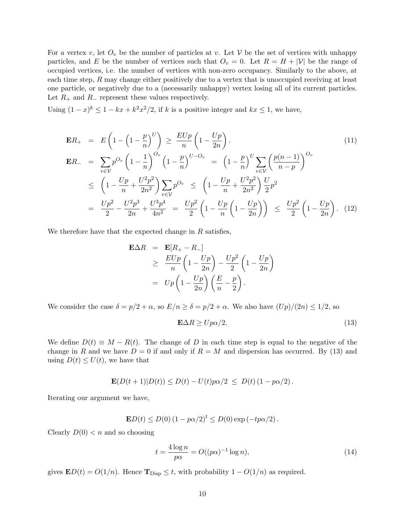For a vertex v, let  $O_v$  be the number of particles at v. Let V be the set of vertices with unhappy particles, and E be the number of vertices such that  $O_v = 0$ . Let  $R = H + |\mathcal{V}|$  be the range of occupied vertices, i.e. the number of vertices with non-zero occupancy. Similarly to the above, at each time step, R may change either positively due to a vertex that is unoccupied receiving at least one particle, or negatively due to a (necessarily unhappy) vertex losing all of its current particles. Let  $R_+$  and  $R_-$  represent these values respectively.

Using  $(1-x)^k \leq 1 - kx + k^2x^2/2$ , if k is a positive integer and  $kx \leq 1$ , we have,

$$
\mathbf{E}R_{+} = E\left(1 - \left(1 - \frac{p}{n}\right)^{U}\right) \geq \frac{EUp}{n}\left(1 - \frac{Up}{2n}\right).
$$
\n
$$
\mathbf{E}R_{-} = \sum_{v \in \mathcal{V}} p^{O_{v}}\left(1 - \frac{1}{n}\right)^{O_{v}}\left(1 - \frac{p}{n}\right)^{U - O_{v}} = \left(1 - \frac{p}{n}\right)^{U} \sum_{v \in \mathcal{V}} \left(\frac{p(n-1)}{n-p}\right)^{O_{v}}
$$
\n
$$
\leq \left(1 - \frac{Up}{n} + \frac{U^{2}p^{2}}{2n^{2}}\right) \sum_{v \in \mathcal{V}} p^{O_{v}} \leq \left(1 - \frac{Up}{n} + \frac{U^{2}p^{2}}{2n^{2}}\right) \frac{U}{2} p^{2}
$$
\n
$$
= \frac{Up^{2}}{2} - \frac{U^{2}p^{3}}{2n} + \frac{U^{3}p^{4}}{4n^{2}} = \frac{Up^{2}}{2}\left(1 - \frac{Up}{n}\left(1 - \frac{Up}{2n}\right)\right) \leq \frac{Up^{2}}{2}\left(1 - \frac{Up}{2n}\right). \quad (12)
$$

We therefore have that the expected change in  $R$  satisfies,

$$
\mathbf{E}\Delta R = \mathbf{E}[R_+ - R_-] \n\ge \frac{EUp}{n} \left(1 - \frac{Up}{2n}\right) - \frac{Up^2}{2} \left(1 - \frac{Up}{2n}\right) \n= Up \left(1 - \frac{Up}{2n}\right) \left(\frac{E}{n} - \frac{p}{2}\right).
$$

We consider the case  $\delta = p/2 + \alpha$ , so  $E/n \ge \delta = p/2 + \alpha$ . We also have  $(Up)/(2n) \le 1/2$ , so

$$
\mathbf{E}\Delta R \ge U p \alpha / 2. \tag{13}
$$

We define  $D(t) \equiv M - R(t)$ . The change of D in each time step is equal to the negative of the change in R and we have  $D = 0$  if and only if  $R = M$  and dispersion has occurred. By (13) and using  $D(t) \leq U(t)$ , we have that

$$
\mathbf{E}(D(t+1)|D(t)) \le D(t) - U(t)p\alpha/2 \le D(t)(1 - p\alpha/2).
$$

Iterating our argument we have,

$$
E D(t) \le D(0) (1 - p\alpha/2)^{t} \le D(0) \exp(-tp\alpha/2).
$$

Clearly  $D(0) < n$  and so choosing

$$
t = \frac{4\log n}{p\alpha} = O((p\alpha)^{-1}\log n),\tag{14}
$$

gives  $\mathbf{E}D(t) = O(1/n)$ . Hence  $\mathbf{T}_{\text{Disp}} \leq t$ , with probability  $1 - O(1/n)$  as required.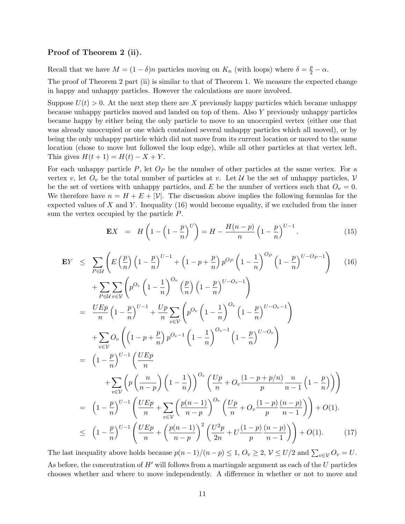#### Proof of Theorem 2 (ii).

Recall that we have  $M = (1 - \delta)n$  particles moving on  $K_n$  (with loops) where  $\delta = \frac{p}{2} - \alpha$ .

The proof of Theorem 2 part (ii) is similar to that of Theorem 1. We measure the expected change in happy and unhappy particles. However the calculations are more involved.

Suppose  $U(t) > 0$ . At the next step there are X previously happy particles which became unhappy because unhappy particles moved and landed on top of them. Also Y previously unhappy particles became happy by either being the only particle to move to an unoccupied vertex (either one that was already unoccupied or one which contained several unhappy particles which all moved), or by being the only unhappy particle which did not move from its current location or moved to the same location (chose to move but followed the loop edge), while all other particles at that vertex left. This gives  $H(t + 1) = H(t) - X + Y$ .

For each unhappy particle  $P$ , let  $O_P$  be the number of other particles at the same vertex. For a vertex v, let  $O_v$  be the total number of particles at v. Let U be the set of unhappy particles, V be the set of vertices with unhappy particles, and E be the number of vertices such that  $O_v = 0$ . We therefore have  $n = H + E + |\mathcal{V}|$ . The discussion above implies the following formulas for the expected values of X and Y. Inequality  $(16)$  would become equality, if we excluded from the inner sum the vertex occupied by the particle P.

$$
\mathbf{E}X = H\left(1 - \left(1 - \frac{p}{n}\right)^{U}\right) = H - \frac{H(n-p)}{n} \left(1 - \frac{p}{n}\right)^{U-1}.
$$
 (15)

$$
\mathbf{E}Y \leq \sum_{P \in \mathcal{U}} \left( E \left( \frac{p}{n} \right) \left( 1 - \frac{p}{n} \right)^{U-1} + \left( 1 - p + \frac{p}{n} \right) p^{O_P} \left( 1 - \frac{1}{n} \right)^{O_P} \left( 1 - \frac{p}{n} \right)^{U-O_P-1} \right) \tag{16}
$$
\n
$$
+ \sum_{P \in \mathcal{U}} \sum_{v \in V} \left( p^{O_v} \left( 1 - \frac{1}{n} \right)^{O_v} \left( \frac{p}{n} \right) \left( 1 - \frac{p}{n} \right)^{U-O_v-1} \right)
$$
\n
$$
= \frac{U E p}{n} \left( 1 - \frac{p}{n} \right)^{U-1} + \frac{U p}{n} \sum_{v \in \mathcal{V}} \left( p^{O_v} \left( 1 - \frac{1}{n} \right)^{O_v} \left( 1 - \frac{p}{n} \right)^{U-O_v-1} \right)
$$
\n
$$
+ \sum_{v \in \mathcal{V}} O_v \left( \left( 1 - p + \frac{p}{n} \right) p^{O_v-1} \left( 1 - \frac{1}{n} \right)^{O_v-1} \left( 1 - \frac{p}{n} \right)^{U-O_v} \right)
$$
\n
$$
= \left( 1 - \frac{p}{n} \right)^{U-1} \left( \frac{U E p}{n} \right)
$$
\n
$$
+ \sum_{v \in \mathcal{V}} \left( p \left( \frac{n}{n-p} \right) \left( 1 - \frac{1}{n} \right) \right)^{O_v} \left( \frac{U p}{n} + O_v \frac{(1 - p + p/n)}{p} \frac{n}{n - 1} \left( 1 - \frac{p}{n} \right) \right)
$$
\n
$$
= \left( 1 - \frac{p}{n} \right)^{U-1} \left( \frac{U E p}{n} + \sum_{v \in \mathcal{V}} \left( \frac{p(n-1)}{n-p} \right)^{O_v} \left( \frac{U p}{n} + O_v \frac{(1 - p) (n - p)}{p} \frac{(n - p)}{n - 1} \right) \right) + O(1).
$$
\n
$$
\leq \left( 1 - \frac{
$$

The last inequality above holds because  $p(n-1)/(n-p) \leq 1, O_v \geq 2, V \leq U/2$  and  $\sum_{v \in V} O_v = U$ . As before, the concentration of  $H'$  will follows from a martingale argument as each of the U particles chooses whether and where to move independently. A difference in whether or not to move and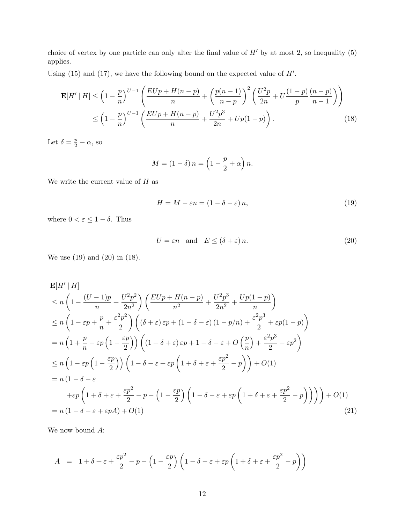choice of vertex by one particle can only alter the final value of  $H'$  by at most 2, so Inequality (5) applies.

Using  $(15)$  and  $(17)$ , we have the following bound on the expected value of  $H'$ .

$$
\mathbf{E}[H' | H] \leq \left(1 - \frac{p}{n}\right)^{U-1} \left(\frac{EUp + H(n-p)}{n} + \left(\frac{p(n-1)}{n-p}\right)^2 \left(\frac{U^2p}{2n} + U\frac{(1-p)}{p}\frac{(n-p)}{n-1}\right)\right) \leq \left(1 - \frac{p}{n}\right)^{U-1} \left(\frac{EUp + H(n-p)}{n} + \frac{U^2p^3}{2n} + Up(1-p)\right).
$$
\n(18)

Let  $\delta = \frac{p}{2} - \alpha$ , so

$$
M = (1 - \delta) n = \left(1 - \frac{p}{2} + \alpha\right) n.
$$

We write the current value of  ${\cal H}$  as

$$
H = M - \varepsilon n = (1 - \delta - \varepsilon) n,\tag{19}
$$

where  $0 < \varepsilon \leq 1 - \delta$ . Thus

$$
U = \varepsilon n \quad \text{and} \quad E \le (\delta + \varepsilon) n. \tag{20}
$$

We use (19) and (20) in (18).

$$
\mathbf{E}[H'|H] \leq n\left(1 - \frac{(U-1)p}{n} + \frac{U^2p^2}{2n^2}\right)\left(\frac{EUp + H(n-p)}{n^2} + \frac{U^2p^3}{2n^2} + \frac{Up(1-p)}{n}\right)
$$
\n
$$
\leq n\left(1 - \varepsilon p + \frac{p}{n} + \frac{\varepsilon^2p^2}{2}\right)\left((\delta + \varepsilon)\varepsilon p + (1 - \delta - \varepsilon)(1 - p/n) + \frac{\varepsilon^2p^3}{2} + \varepsilon p(1 - p)\right)
$$
\n
$$
= n\left(1 + \frac{p}{n} - \varepsilon p\left(1 - \frac{\varepsilon p}{2}\right)\right)\left((1 + \delta + \varepsilon)\varepsilon p + 1 - \delta - \varepsilon + O\left(\frac{p}{n}\right) + \frac{\varepsilon^2p^3}{2} - \varepsilon p^2\right)
$$
\n
$$
\leq n\left(1 - \varepsilon p\left(1 - \frac{\varepsilon p}{2}\right)\right)\left(1 - \delta - \varepsilon + \varepsilon p\left(1 + \delta + \varepsilon + \frac{\varepsilon p^2}{2} - p\right)\right) + O(1)
$$
\n
$$
= n\left(1 - \delta - \varepsilon
$$
\n
$$
+ \varepsilon p\left(1 + \delta + \varepsilon + \frac{\varepsilon p^2}{2} - p - \left(1 - \frac{\varepsilon p}{2}\right)\left(1 - \delta - \varepsilon + \varepsilon p\left(1 + \delta + \varepsilon + \frac{\varepsilon p^2}{2} - p\right)\right)\right)\right) + O(1)
$$
\n
$$
= n\left(1 - \delta - \varepsilon + \varepsilon p A\right) + O(1)
$$
\n(21)

We now bound A:

$$
A = 1 + \delta + \varepsilon + \frac{\varepsilon p^2}{2} - p - \left(1 - \frac{\varepsilon p}{2}\right)\left(1 - \delta - \varepsilon + \varepsilon p\left(1 + \delta + \varepsilon + \frac{\varepsilon p^2}{2} - p\right)\right)
$$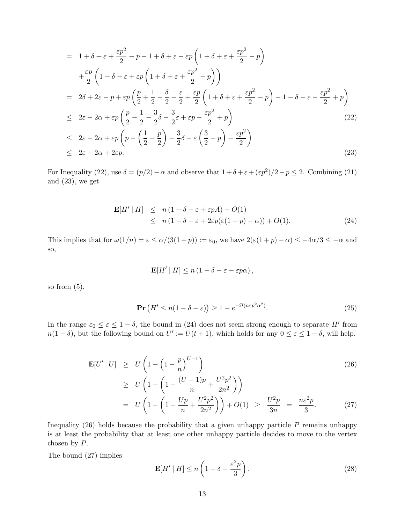$$
= 1 + \delta + \varepsilon + \frac{\varepsilon p^2}{2} - p - 1 + \delta + \varepsilon - \varepsilon p \left( 1 + \delta + \varepsilon + \frac{\varepsilon p^2}{2} - p \right)
$$
  
\n
$$
+ \frac{\varepsilon p}{2} \left( 1 - \delta - \varepsilon + \varepsilon p \left( 1 + \delta + \varepsilon + \frac{\varepsilon p^2}{2} - p \right) \right)
$$
  
\n
$$
= 2\delta + 2\varepsilon - p + \varepsilon p \left( \frac{p}{2} + \frac{1}{2} - \frac{\delta}{2} - \frac{\varepsilon}{2} + \frac{\varepsilon p}{2} \left( 1 + \delta + \varepsilon + \frac{\varepsilon p^2}{2} - p \right) - 1 - \delta - \varepsilon - \frac{\varepsilon p^2}{2} + p \right)
$$
  
\n
$$
\leq 2\varepsilon - 2\alpha + \varepsilon p \left( \frac{p}{2} - \frac{1}{2} - \frac{3}{2}\delta - \frac{3}{2}\varepsilon + \varepsilon p - \frac{\varepsilon p^2}{2} + p \right)
$$
  
\n
$$
\leq 2\varepsilon - 2\alpha + \varepsilon p \left( p - \left( \frac{1}{2} - \frac{p}{2} \right) - \frac{3}{2}\delta - \varepsilon \left( \frac{3}{2} - p \right) - \frac{\varepsilon p^2}{2} \right)
$$
  
\n
$$
\leq 2\varepsilon - 2\alpha + 2\varepsilon p.
$$
  
\n(23)

For Inequality (22), use  $\delta = (p/2) - \alpha$  and observe that  $1 + \delta + \epsilon + (\epsilon p^2)/2 - p \le 2$ . Combining (21) and (23), we get

$$
\mathbf{E}[H' | H] \leq n(1 - \delta - \varepsilon + \varepsilon pA) + O(1) \leq n(1 - \delta - \varepsilon + 2\varepsilon p(\varepsilon(1 + p) - \alpha)) + O(1).
$$
\n(24)

This implies that for  $\omega(1/n) = \varepsilon \le \alpha/(3(1+p)) := \varepsilon_0$ , we have  $2(\varepsilon(1+p)-\alpha) \le -4\alpha/3 \le -\alpha$  and so,

$$
\mathbf{E}[H' | H] \le n (1 - \delta - \varepsilon - \varepsilon p\alpha),
$$

so from  $(5)$ ,

$$
\Pr\left(H' \le n(1 - \delta - \varepsilon)\right) \ge 1 - e^{-\Omega(n\varepsilon p^2 \alpha^2)}.\tag{25}
$$

In the range  $\varepsilon_0 \leq \varepsilon \leq 1-\delta$ , the bound in (24) does not seem strong enough to separate H' from  $n(1 - \delta)$ , but the following bound on  $U' := U(t + 1)$ , which holds for any  $0 \le \varepsilon \le 1 - \delta$ , will help.

$$
\mathbf{E}[U'|U] \ge U\left(1 - \left(1 - \frac{p}{n}\right)^{U-1}\right) \qquad (26)
$$
\n
$$
\ge U\left(1 - \left(1 - \frac{(U-1)p}{n} + \frac{U^2p^2}{2n^2}\right)\right) \qquad \qquad (27)
$$
\n
$$
= U\left(1 - \left(1 - \frac{Up}{n} + \frac{U^2p^2}{2n^2}\right)\right) + O(1) \qquad \ge \frac{U^2p}{3n} = \frac{n\varepsilon^2p}{3}.
$$

Inequality  $(26)$  holds because the probability that a given unhappy particle P remains unhappy is at least the probability that at least one other unhappy particle decides to move to the vertex chosen by P.

The bound (27) implies

$$
\mathbf{E}[H' \mid H] \le n \left(1 - \delta - \frac{\varepsilon^2 p}{3}\right),\tag{28}
$$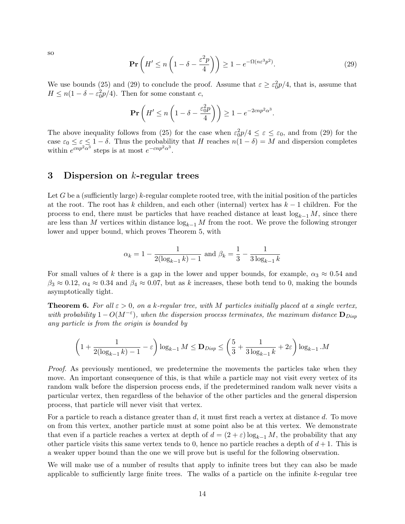so

$$
\mathbf{Pr}\left(H' \le n\left(1 - \delta - \frac{\varepsilon^2 p}{4}\right)\right) \ge 1 - e^{-\Omega(n\varepsilon^3 p^2)}.
$$
\n(29)

We use bounds (25) and (29) to conclude the proof. Assume that  $\varepsilon \geq \varepsilon_0^2 p/4$ , that is, assume that  $H \le n(1 - \delta - \varepsilon_0^2 p/4)$ . Then for some constant c,

$$
\mathbf{Pr}\left(H' \le n\left(1 - \delta - \frac{\varepsilon_0^2 p}{4}\right)\right) \ge 1 - e^{-2cnp^2\alpha^3}.
$$

The above inequality follows from (25) for the case when  $\varepsilon_0^2 p/4 \leq \varepsilon \leq \varepsilon_0$ , and from (29) for the case  $\varepsilon_0 \leq \varepsilon \leq 1-\delta$ . Thus the probability that H reaches  $n(1-\delta) = M$  and dispersion completes within  $e^{cnp^2\alpha^3}$  steps is at most  $e^{-cnp^2\alpha^3}$ .

#### 3 Dispersion on k-regular trees

Let G be a (sufficiently large) k-regular complete rooted tree, with the initial position of the particles at the root. The root has k children, and each other (internal) vertex has  $k-1$  children. For the process to end, there must be particles that have reached distance at least  $log_{k-1} M$ , since there are less than M vertices within distance  $log_{k-1} M$  from the root. We prove the following stronger lower and upper bound, which proves Theorem 5, with

$$
\alpha_k = 1 - \frac{1}{2(\log_{k-1} k) - 1}
$$
 and  $\beta_k = \frac{1}{3} - \frac{1}{3 \log_{k-1} k}$ 

For small values of k there is a gap in the lower and upper bounds, for example,  $\alpha_3 \approx 0.54$  and  $\beta_3 \approx 0.12$ ,  $\alpha_4 \approx 0.34$  and  $\beta_4 \approx 0.07$ , but as k increases, these both tend to 0, making the bounds asymptotically tight.

**Theorem 6.** For all  $\varepsilon > 0$ , on a k-regular tree, with M particles initially placed at a single vertex, with probability  $1-O(M^{-\epsilon})$ , when the dispersion process terminates, the maximum distance  $\mathbf{D}_{Disp}$ any particle is from the origin is bounded by

$$
\left(1 + \frac{1}{2(\log_{k-1} k) - 1} - \varepsilon\right) \log_{k-1} M \le \mathbf{D}_{\text{Disp}} \le \left(\frac{5}{3} + \frac{1}{3 \log_{k-1} k} + 2\varepsilon\right) \log_{k-1} M
$$

Proof. As previously mentioned, we predetermine the movements the particles take when they move. An important consequence of this, is that while a particle may not visit every vertex of its random walk before the dispersion process ends, if the predetermined random walk never visits a particular vertex, then regardless of the behavior of the other particles and the general dispersion process, that particle will never visit that vertex.

For a particle to reach a distance greater than  $d$ , it must first reach a vertex at distance  $d$ . To move on from this vertex, another particle must at some point also be at this vertex. We demonstrate that even if a particle reaches a vertex at depth of  $d = (2 + \varepsilon) \log_{k-1} M$ , the probability that any other particle visits this same vertex tends to 0, hence no particle reaches a depth of  $d+1$ . This is a weaker upper bound than the one we will prove but is useful for the following observation.

We will make use of a number of results that apply to infinite trees but they can also be made applicable to sufficiently large finite trees. The walks of a particle on the infinite k-regular tree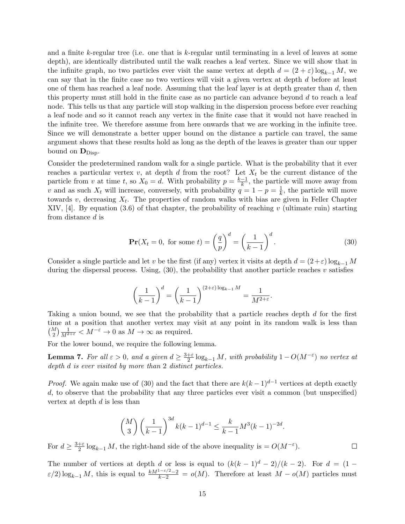and a finite k-regular tree (i.e. one that is k-regular until terminating in a level of leaves at some depth), are identically distributed until the walk reaches a leaf vertex. Since we will show that in the infinite graph, no two particles ever visit the same vertex at depth  $d = (2 + \varepsilon) \log_{k-1} M$ , we can say that in the finite case no two vertices will visit a given vertex at depth d before at least one of them has reached a leaf node. Assuming that the leaf layer is at depth greater than  $d$ , then this property must still hold in the finite case as no particle can advance beyond  $d$  to reach a leaf node. This tells us that any particle will stop walking in the dispersion process before ever reaching a leaf node and so it cannot reach any vertex in the finite case that it would not have reached in the infinite tree. We therefore assume from here onwards that we are working in the infinite tree. Since we will demonstrate a better upper bound on the distance a particle can travel, the same argument shows that these results hold as long as the depth of the leaves is greater than our upper bound on  $\mathbf{D}_{\text{Disp}}$ .

Consider the predetermined random walk for a single particle. What is the probability that it ever reaches a particular vertex v, at depth d from the root? Let  $X_t$  be the current distance of the particle from v at time t, so  $X_0 = d$ . With probability  $p = \frac{k-1}{k}$  $\frac{-1}{k}$ , the particle will move away from v and as such  $X_t$  will increase, conversely, with probability  $q = 1 - p = \frac{1}{k}$  $\frac{1}{k}$ , the particle will move towards  $v$ , decreasing  $X_t$ . The properties of random walks with bias are given in Feller Chapter XIV, [4]. By equation  $(3.6)$  of that chapter, the probability of reaching v (ultimate ruin) starting from distance d is

$$
\mathbf{Pr}(X_t = 0, \text{ for some } t) = \left(\frac{q}{p}\right)^d = \left(\frac{1}{k-1}\right)^d.
$$
 (30)

 $\Box$ 

Consider a single particle and let v be the first (if any) vertex it visits at depth  $d = (2+\varepsilon) \log_{k-1} M$ during the dispersal process. Using,  $(30)$ , the probability that another particle reaches v satisfies

$$
\left(\frac{1}{k-1}\right)^d = \left(\frac{1}{k-1}\right)^{(2+\varepsilon)\log_{k-1}M} = \frac{1}{M^{2+\varepsilon}}.
$$

Taking a union bound, we see that the probability that a particle reaches depth d for the first time at a position that another vertex may visit at any point in its random walk is less than  $\binom{M}{2} \frac{1}{M^{2+\varepsilon}} < M^{-\varepsilon} \to 0$  as  $M \to \infty$  as required.

For the lower bound, we require the following lemma.

**Lemma 7.** For all  $\varepsilon > 0$ , and a given  $d \geq \frac{3+\varepsilon}{2}$  $\frac{1}{2} \log_{k-1} M$ , with probability  $1 - O(M^{-\varepsilon})$  no vertex at depth d is ever visited by more than 2 distinct particles.

*Proof.* We again make use of (30) and the fact that there are  $k(k-1)^{d-1}$  vertices at depth exactly d, to observe that the probability that any three particles ever visit a common (but unspecified) vertex at depth d is less than

$$
\binom{M}{3} \left(\frac{1}{k-1}\right)^{3d} k(k-1)^{d-1} \le \frac{k}{k-1} M^3(k-1)^{-2d}.
$$

For  $d \geq \frac{3+\varepsilon}{2}$  $\frac{1}{2}$  log<sub>k-1</sub> M, the right-hand side of the above inequality is =  $O(M^{-\varepsilon})$ .

The number of vertices at depth d or less is equal to  $(k(k-1)^d-2)/(k-2)$ . For  $d=(1 \varepsilon/2$ )  $\log_{k-1} M$ , this is equal to  $\frac{kM^{1-\varepsilon/2}-2}{k-2} = o(M)$ . Therefore at least  $M - o(M)$  particles must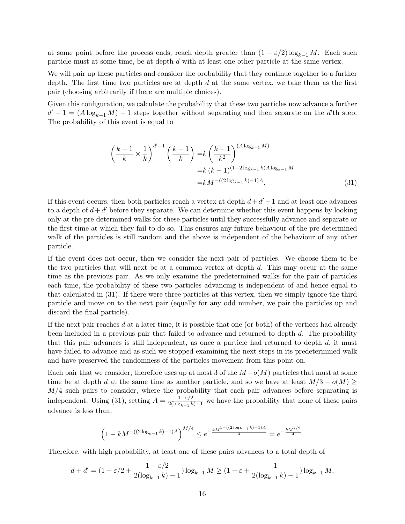at some point before the process ends, reach depth greater than  $(1 - \varepsilon/2) \log_{k-1} M$ . Each such particle must at some time, be at depth d with at least one other particle at the same vertex.

We will pair up these particles and consider the probability that they continue together to a further depth. The first time two particles are at depth  $d$  at the same vertex, we take them as the first pair (choosing arbitrarily if there are multiple choices).

Given this configuration, we calculate the probability that these two particles now advance a further  $d' - 1 = (A \log_{k-1} M) - 1$  steps together without separating and then separate on the d'th step. The probability of this event is equal to

$$
\left(\frac{k-1}{k} \times \frac{1}{k}\right)^{d'-1} \left(\frac{k-1}{k}\right) = k \left(\frac{k-1}{k^2}\right)^{(A \log_{k-1} M)} \n= k (k-1)^{(1-2 \log_{k-1} k) A \log_{k-1} M} \n= k M^{-((2 \log_{k-1} k) - 1) A}.
$$
\n(31)

If this event occurs, then both particles reach a vertex at depth  $d + d' - 1$  and at least one advances to a depth of  $d + d'$  before they separate. We can determine whether this event happens by looking only at the pre-determined walks for these particles until they successfully advance and separate or the first time at which they fail to do so. This ensures any future behaviour of the pre-determined walk of the particles is still random and the above is independent of the behaviour of any other particle.

If the event does not occur, then we consider the next pair of particles. We choose them to be the two particles that will next be at a common vertex at depth  $d$ . This may occur at the same time as the previous pair. As we only examine the predetermined walks for the pair of particles each time, the probability of these two particles advancing is independent of and hence equal to that calculated in (31). If there were three particles at this vertex, then we simply ignore the third particle and move on to the next pair (equally for any odd number, we pair the particles up and discard the final particle).

If the next pair reaches d at a later time, it is possible that one (or both) of the vertices had already been included in a previous pair that failed to advance and returned to depth d. The probability that this pair advances is still independent, as once a particle had returned to depth  $d$ , it must have failed to advance and as such we stopped examining the next steps in its predetermined walk and have preserved the randomness of the particles movement from this point on.

Each pair that we consider, therefore uses up at most 3 of the  $M - o(M)$  particles that must at some time be at depth d at the same time as another particle, and so we have at least  $M/3 - o(M) \ge$  $M/4$  such pairs to consider, where the probability that each pair advances before separating is independent. Using (31), setting  $A = \frac{1-\epsilon/2}{2(\log_{k-1} k)-1}$  we have the probability that none of these pairs advance is less than,

$$
\left(1 - kM^{-\left((2\log_{k-1}k) - 1\right)A}\right)^{M/4} \le e^{-\frac{kM^{1-\left((2\log_{k-1}k) - 1\right)A}{4}} = e^{-\frac{kM^{\varepsilon/2}}{4}}.
$$

Therefore, with high probability, at least one of these pairs advances to a total depth of

$$
d + d' = (1 - \varepsilon/2 + \frac{1 - \varepsilon/2}{2(\log_{k-1} k) - 1}) \log_{k-1} M \ge (1 - \varepsilon + \frac{1}{2(\log_{k-1} k) - 1}) \log_{k-1} M,
$$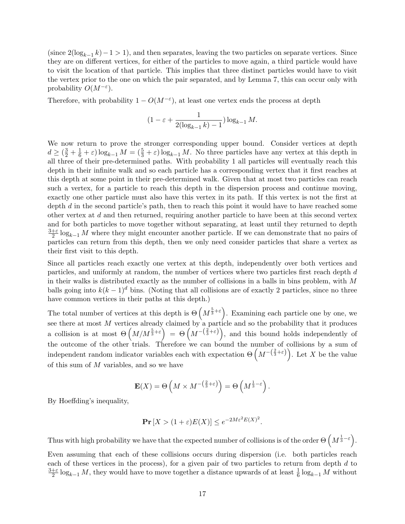(since  $2(\log_{k-1} k)-1>1$ ), and then separates, leaving the two particles on separate vertices. Since they are on different vertices, for either of the particles to move again, a third particle would have to visit the location of that particle. This implies that three distinct particles would have to visit the vertex prior to the one on which the pair separated, and by Lemma 7, this can occur only with probability  $O(M^{-\varepsilon}).$ 

Therefore, with probability  $1 - O(M^{-\varepsilon})$ , at least one vertex ends the process at depth

$$
(1 - \varepsilon + \frac{1}{2(\log_{k-1} k) - 1}) \log_{k-1} M.
$$

We now return to prove the stronger corresponding upper bound. Consider vertices at depth  $d \geq (\frac{3}{2} + \frac{1}{6} + \varepsilon) \log_{k-1} M = (\frac{5}{3} + \varepsilon) \log_{k-1} M$ . No three particles have any vertex at this depth in all three of their pre-determined paths. With probability 1 all particles will eventually reach this depth in their infinite walk and so each particle has a corresponding vertex that it first reaches at this depth at some point in their pre-determined walk. Given that at most two particles can reach such a vertex, for a particle to reach this depth in the dispersion process and continue moving, exactly one other particle must also have this vertex in its path. If this vertex is not the first at depth  $d$  in the second particle's path, then to reach this point it would have to have reached some other vertex at d and then returned, requiring another particle to have been at this second vertex and for both particles to move together without separating, at least until they returned to depth  $3+\varepsilon$  $\frac{1}{2}$  log<sub>k-1</sub> M where they might encounter another particle. If we can demonstrate that no pairs of particles can return from this depth, then we only need consider particles that share a vertex as their first visit to this depth.

Since all particles reach exactly one vertex at this depth, independently over both vertices and particles, and uniformly at random, the number of vertices where two particles first reach depth d in their walks is distributed exactly as the number of collisions in a balls in bins problem, with M balls going into  $k(k-1)^d$  bins. (Noting that all collisions are of exactly 2 particles, since no three have common vertices in their paths at this depth.)

The total number of vertices at this depth is  $\Theta\left(M^{\frac{5}{3}+\varepsilon}\right)$ . Examining each particle one by one, we see there at most M vertices already claimed by a particle and so the probability that it produces a collision is at most  $\Theta\left(M/M^{\frac{5}{3}+\varepsilon}\right) = \Theta\left(M^{-\left(\frac{2}{3}+\varepsilon\right)}\right)$ , and this bound holds independently of the outcome of the other trials. Therefore we can bound the number of collisions by a sum of independent random indicator variables each with expectation  $\Theta\left(M^{-\left(\frac{2}{3}+\varepsilon\right)}\right)$ . Let X be the value of this sum of  $M$  variables, and so we have

$$
\mathbf{E}(X) = \Theta\left(M \times M^{-\left(\frac{2}{3} + \varepsilon\right)}\right) = \Theta\left(M^{\frac{1}{3} - \varepsilon}\right).
$$

By Hoeffding's inequality,

$$
\mathbf{Pr}\left[X > (1+\varepsilon)E(X)\right] \le e^{-2M\varepsilon^2 E(X)^2}.
$$

Thus with high probability we have that the expected number of collisions is of the order  $\Theta\left(M^{\frac{1}{3}-\varepsilon}\right)$ .

Even assuming that each of these collisions occurs during dispersion (i.e. both particles reach each of these vertices in the process), for a given pair of two particles to return from depth d to  $3+\varepsilon$  $\frac{+}{2}$  log<sub>k−1</sub> M, they would have to move together a distance upwards of at least  $\frac{1}{6}$  log<sub>k−1</sub> M without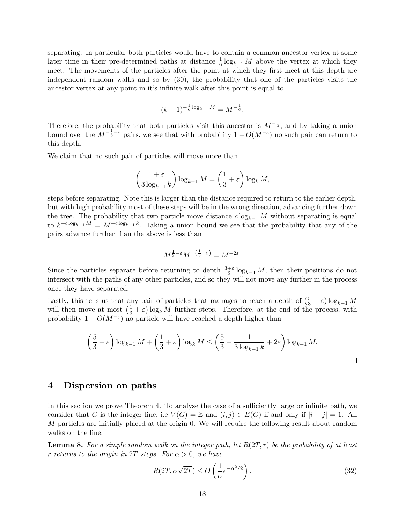separating. In particular both particles would have to contain a common ancestor vertex at some later time in their pre-determined paths at distance  $\frac{1}{6} \log_{k-1} M$  above the vertex at which they meet. The movements of the particles after the point at which they first meet at this depth are independent random walks and so by (30), the probability that one of the particles visits the ancestor vertex at any point in it's infinite walk after this point is equal to

$$
(k-1)^{-\frac{1}{6}\log_{k-1}M}=M^{-\frac{1}{6}}.
$$

Therefore, the probability that both particles visit this ancestor is  $M^{-\frac{1}{3}}$ , and by taking a union bound over the  $M^{-\frac{1}{3}-\varepsilon}$  pairs, we see that with probability  $1-O(M^{-\varepsilon})$  no such pair can return to this depth.

We claim that no such pair of particles will move more than

$$
\left(\frac{1+\varepsilon}{3\log_{k-1}k}\right)\log_{k-1}M=\left(\frac{1}{3}+\varepsilon\right)\log_k M,
$$

steps before separating. Note this is larger than the distance required to return to the earlier depth, but with high probability most of these steps will be in the wrong direction, advancing further down the tree. The probability that two particle move distance  $c \log_{k-1} M$  without separating is equal to  $k^{-c \log_{k-1} M} = M^{-c \log_{k-1} k}$ . Taking a union bound we see that the probability that any of the pairs advance further than the above is less than

$$
M^{\frac{1}{3}-\varepsilon}M^{-\left(\frac{1}{3}+\varepsilon\right)}=M^{-2\varepsilon}.
$$

Since the particles separate before returning to depth  $\frac{3+\varepsilon}{2} \log_{k-1} M$ , then their positions do not intersect with the paths of any other particles, and so they will not move any further in the process once they have separated.

Lastly, this tells us that any pair of particles that manages to reach a depth of  $(\frac{5}{3} + \varepsilon) \log_{k-1} M$ will then move at most  $(\frac{1}{3} + \varepsilon) \log_k M$  further steps. Therefore, at the end of the process, with probability  $1 - O(M^{-\varepsilon})$  no particle will have reached a depth higher than

$$
\left(\frac{5}{3} + \varepsilon\right) \log_{k-1} M + \left(\frac{1}{3} + \varepsilon\right) \log_k M \le \left(\frac{5}{3} + \frac{1}{3 \log_{k-1} k} + 2\varepsilon\right) \log_{k-1} M.
$$

#### 4 Dispersion on paths

In this section we prove Theorem 4. To analyse the case of a sufficiently large or infinite path, we consider that G is the integer line, i.e  $V(G) = \mathbb{Z}$  and  $(i, j) \in E(G)$  if and only if  $|i - j| = 1$ . All M particles are initially placed at the origin 0. We will require the following result about random walks on the line.

**Lemma 8.** For a simple random walk on the integer path, let  $R(2T, r)$  be the probability of at least r returns to the origin in 2T steps. For  $\alpha > 0$ , we have

$$
R(2T, \alpha \sqrt{2T}) \le O\left(\frac{1}{\alpha} e^{-\alpha^2/2}\right). \tag{32}
$$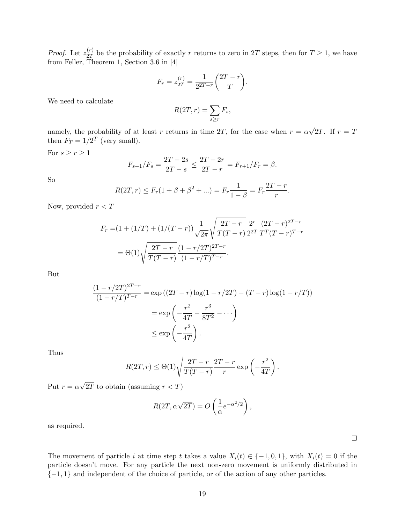*Proof.* Let  $z_{2T}^{(r)}$  $2T \nvert_{2T}^{(r)}$  be the probability of exactly r returns to zero in 2T steps, then for  $T \geq 1$ , we have from Feller, Theorem 1, Section 3.6 in [4]

$$
F_r = z_{2T}^{(r)} = \frac{1}{2^{2T-r}} \binom{2T-r}{T}.
$$

We need to calculate

$$
R(2T,r) = \sum_{s \ge r} F_s,
$$

namely, the probability of at least r returns in time 2T, for the case when  $r = \alpha$ √ 2T. If  $r = T$ then  $F_T = 1/2^T$  (very small).

For  $s\geq r\geq 1$ 

$$
F_{s+1}/F_s = \frac{2T - 2s}{2T - s} \le \frac{2T - 2r}{2T - r} = F_{r+1}/F_r = \beta.
$$

So

$$
R(2T, r) \le F_r(1 + \beta + \beta^2 + ...) = F_r \frac{1}{1 - \beta} = F_r \frac{2T - r}{r}.
$$

Now, provided  $r < T$ 

$$
F_r = (1 + (1/T) + (1/(T - r))) \frac{1}{\sqrt{2\pi}} \sqrt{\frac{2T - r}{T(T - r)}} \frac{2^r}{2^{2T}} \frac{(2T - r)^{2T - r}}{T^T (T - r)^{T - r}}
$$
  
=  $\Theta(1) \sqrt{\frac{2T - r}{T(T - r)}} \frac{(1 - r/2T)^{2T - r}}{(1 - r/T)^{T - r}}.$ 

But

$$
\frac{(1 - r/2T)^{2T-r}}{(1 - r/T)^{T-r}} = \exp((2T - r)\log(1 - r/2T) - (T - r)\log(1 - r/T))
$$

$$
= \exp\left(-\frac{r^2}{4T} - \frac{r^3}{8T^2} - \cdots\right)
$$

$$
\le \exp\left(-\frac{r^2}{4T}\right).
$$

Thus

$$
R(2T,r) \leq \Theta(1) \sqrt{\frac{2T-r}{T(T-r)}} \frac{2T-r}{r} \exp\left(-\frac{r^2}{4T}\right).
$$

Put  $r = \alpha$ √ 2T to obtain (assuming  $r < T$ )

$$
R(2T, \alpha \sqrt{2T}) = O\left(\frac{1}{\alpha} e^{-\alpha^2/2}\right),\,
$$

as required.

The movement of particle i at time step t takes a value  $X_i(t) \in \{-1,0,1\}$ , with  $X_i(t) = 0$  if the particle doesn't move. For any particle the next non-zero movement is uniformly distributed in {−1, 1} and independent of the choice of particle, or of the action of any other particles.

 $\Box$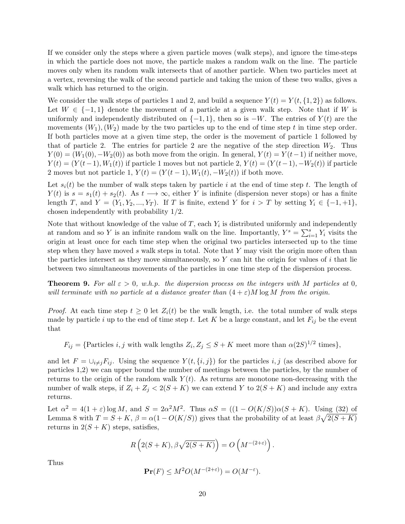If we consider only the steps where a given particle moves (walk steps), and ignore the time-steps in which the particle does not move, the particle makes a random walk on the line. The particle moves only when its random walk intersects that of another particle. When two particles meet at a vertex, reversing the walk of the second particle and taking the union of these two walks, gives a walk which has returned to the origin.

We consider the walk steps of particles 1 and 2, and build a sequence  $Y(t) = Y(t, \{1, 2\})$  as follows. Let  $W \in \{-1,1\}$  denote the movement of a particle at a given walk step. Note that if W is uniformly and independently distributed on  $\{-1, 1\}$ , then so is  $-W$ . The entries of  $Y(t)$  are the movements  $(W_1), (W_2)$  made by the two particles up to the end of time step t in time step order. If both particles move at a given time step, the order is the movement of particle 1 followed by that of particle 2. The entries for particle 2 are the negative of the step direction  $W_2$ . Thus  $Y(0) = (W_1(0), -W_2(0))$  as both move from the origin. In general,  $Y(t) = Y(t-1)$  if neither move,  $Y(t) = (Y(t-1), W_1(t))$  if particle 1 moves but not particle 2,  $Y(t) = (Y(t-1), -W_2(t))$  if particle 2 moves but not particle 1,  $Y(t) = (Y(t-1), W_1(t), -W_2(t))$  if both move.

Let  $s_i(t)$  be the number of walk steps taken by particle i at the end of time step t. The length of  $Y(t)$  is  $s = s_1(t) + s_2(t)$ . As  $t \rightarrow \infty$ , either Y is infinite (dispersion never stops) or has a finite length T, and  $Y = (Y_1, Y_2, ..., Y_T)$ . If T is finite, extend Y for  $i > T$  by setting  $Y_i \in \{-1, +1\}$ , chosen independently with probability 1/2.

Note that without knowledge of the value of  $T$ , each  $Y_i$  is distributed uniformly and independently at random and so Y is an infinite random walk on the line. Importantly,  $Y^s = \sum_{i=1}^s Y_i$  visits the origin at least once for each time step when the original two particles intersected up to the time step when they have moved s walk steps in total. Note that  $Y$  may visit the origin more often than the particles intersect as they move simultaneously, so Y can hit the origin for values of i that lie between two simultaneous movements of the particles in one time step of the dispersion process.

**Theorem 9.** For all  $\varepsilon > 0$ , w.h.p. the dispersion process on the integers with M particles at 0, will terminate with no particle at a distance greater than  $(4 + \varepsilon)M \log M$  from the origin.

*Proof.* At each time step  $t \geq 0$  let  $Z_i(t)$  be the walk length, i.e. the total number of walk steps made by particle i up to the end of time step t. Let K be a large constant, and let  $F_{ij}$  be the event that

 $F_{ij} = {Particles\ i,j\ with\ walk\ lengths}\ Z_i, Z_j \leq S+K$  meet more than  $\alpha(2S)^{1/2}$  times},

and let  $F = \bigcup_{i \neq j} F_{ij}$ . Using the sequence  $Y(t, \{i, j\})$  for the particles i, j (as described above for particles 1,2) we can upper bound the number of meetings between the particles, by the number of returns to the origin of the random walk  $Y(t)$ . As returns are monotone non-decreasing with the number of walk steps, if  $Z_i + Z_j < 2(S + K)$  we can extend Y to  $2(S + K)$  and include any extra returns.

Let  $\alpha^2 = 4(1+\varepsilon)\log M$ , and  $S = 2\alpha^2 M^2$ . Thus  $\alpha S = ((1-O(K/S))\alpha(S+K))$ . Using (32) of Lemma 8 with  $T = S + K$ ,  $\beta = \alpha(1 - O(K/S))$  gives that the probability of at least  $\beta \sqrt{2(S+K)}$ returns in  $2(S + K)$  steps, satisfies,

$$
R\left(2(S+K),\beta\sqrt{2(S+K)}\right) = O\left(M^{-(2+\varepsilon)}\right).
$$

Thus

$$
\mathbf{Pr}(F) \le M^2 O(M^{-(2+\varepsilon)}) = O(M^{-\varepsilon}).
$$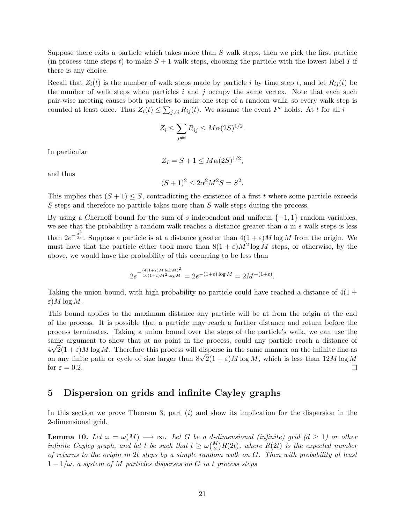Suppose there exits a particle which takes more than  $S$  walk steps, then we pick the first particle (in process time steps t) to make  $S + 1$  walk steps, choosing the particle with the lowest label I if there is any choice.

Recall that  $Z_i(t)$  is the number of walk steps made by particle i by time step t, and let  $R_{ij}(t)$  be the number of walk steps when particles  $i$  and  $j$  occupy the same vertex. Note that each such pair-wise meeting causes both particles to make one step of a random walk, so every walk step is counted at least once. Thus  $Z_i(t) \leq \sum_{j \neq i} R_{ij}(t)$ . We assume the event  $F^c$  holds. At t for all i

$$
Z_i \le \sum_{j \ne i} R_{ij} \le M \alpha (2S)^{1/2}.
$$

In particular

$$
Z_I = S + 1 \leq M\alpha(2S)^{1/2},
$$

and thus

$$
(S+1)^2 \le 2\alpha^2 M^2 S = S^2.
$$

This implies that  $(S + 1) \leq S$ , contradicting the existence of a first t where some particle exceeds  $S$  steps and therefore no particle takes more than  $S$  walk steps during the process.

By using a Chernoff bound for the sum of s independent and uniform  $\{-1,1\}$  random variables. we see that the probability a random walk reaches a distance greater than  $a$  in  $s$  walk steps is less than  $2e^{-\frac{a^2}{2s}}$ . Suppose a particle is at a distance greater than  $4(1+\varepsilon)M\log M$  from the origin. We must have that the particle either took more than  $8(1+\varepsilon)M^2\log M$  steps, or otherwise, by the above, we would have the probability of this occurring to be less than

$$
2e^{-\frac{(4(1+\varepsilon)M\log M)^2}{16(1+\varepsilon)M^2\log M}} = 2e^{-(1+\varepsilon)\log M} = 2M^{-(1+\varepsilon)}.
$$

Taking the union bound, with high probability no particle could have reached a distance of  $4(1 +$ ε)M log M.

This bound applies to the maximum distance any particle will be at from the origin at the end of the process. It is possible that a particle may reach a further distance and return before the process terminates. Taking a union bound over the steps of the particle's walk, we can use the same argument to show that at no point in the process, could any particle reach a distance of  $4\sqrt{2}(1+\varepsilon)M\log M$ . Therefore this process will disperse in the same manner on the infinite line as  $4\nabla^2(1+\varepsilon)M$  log M. Therefore this process will disperse in the same manner on the infinite line as<br>on any finite path or cycle of size larger than  $8\sqrt{2}(1+\varepsilon)M \log M$ , which is less than  $12M \log M$ for  $\varepsilon = 0.2$ .  $\Box$ 

### 5 Dispersion on grids and infinite Cayley graphs

In this section we prove Theorem 3, part  $(i)$  and show its implication for the dispersion in the 2-dimensional grid.

**Lemma 10.** Let  $\omega = \omega(M) \longrightarrow \infty$ . Let G be a d-dimensional (infinite) grid (d  $\geq 1$ ) or other infinite Cayley graph, and let t be such that  $t \geq \omega {M \choose 2} R(2t)$ , where  $R(2t)$  is the expected number of returns to the origin in 2t steps by a simple random walk on G. Then with probability at least  $1-1/\omega$ , a system of M particles disperses on G in t process steps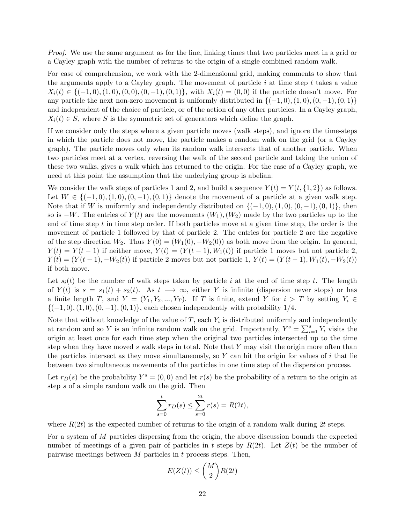Proof. We use the same argument as for the line, linking times that two particles meet in a grid or a Cayley graph with the number of returns to the origin of a single combined random walk.

For ease of comprehension, we work with the 2-dimensional grid, making comments to show that the arguments apply to a Cayley graph. The movement of particle  $i$  at time step  $t$  takes a value  $X_i(t) \in \{(-1,0), (1,0), (0,0), (0,-1), (0,1)\}\,$ , with  $X_i(t) = (0,0)$  if the particle doesn't move. For any particle the next non-zero movement is uniformly distributed in  $\{(-1,0), (1,0), (0,-1), (0,1)\}\$ and independent of the choice of particle, or of the action of any other particles. In a Cayley graph,  $X_i(t) \in S$ , where S is the symmetric set of generators which define the graph.

If we consider only the steps where a given particle moves (walk steps), and ignore the time-steps in which the particle does not move, the particle makes a random walk on the grid (or a Cayley graph). The particle moves only when its random walk intersects that of another particle. When two particles meet at a vertex, reversing the walk of the second particle and taking the union of these two walks, gives a walk which has returned to the origin. For the case of a Cayley graph, we need at this point the assumption that the underlying group is abelian.

We consider the walk steps of particles 1 and 2, and build a sequence  $Y(t) = Y(t, \{1, 2\})$  as follows. Let  $W \in \{(-1,0), (1,0), (0,-1), (0,1)\}\$  denote the movement of a particle at a given walk step. Note that if W is uniformly and independently distributed on  $\{(-1,0), (1,0), (0,-1), (0,1)\}\,$ , then so is  $-W$ . The entries of  $Y(t)$  are the movements  $(W_1), (W_2)$  made by the two particles up to the end of time step  $t$  in time step order. If both particles move at a given time step, the order is the movement of particle 1 followed by that of particle 2. The entries for particle 2 are the negative of the step direction  $W_2$ . Thus  $Y(0) = (W_1(0), -W_2(0))$  as both move from the origin. In general,  $Y(t) = Y(t-1)$  if neither move,  $Y(t) = (Y(t-1), W_1(t))$  if particle 1 moves but not particle 2,  $Y(t) = (Y(t-1), -W_2(t))$  if particle 2 moves but not particle 1,  $Y(t) = (Y(t-1), W_1(t), -W_2(t))$ if both move.

Let  $s_i(t)$  be the number of walk steps taken by particle i at the end of time step t. The length of  $Y(t)$  is  $s = s_1(t) + s_2(t)$ . As  $t \longrightarrow \infty$ , either Y is infinite (dispersion never stops) or has a finite length T, and  $Y = (Y_1, Y_2, ..., Y_T)$ . If T is finite, extend Y for  $i > T$  by setting  $Y_i \in$  ${(-1, 0), (1, 0), (0, -1), (0, 1)}$ , each chosen independently with probability 1/4.

Note that without knowledge of the value of  $T$ , each  $Y_i$  is distributed uniformly and independently at random and so Y is an infinite random walk on the grid. Importantly,  $Y^s = \sum_{i=1}^s Y_i$  visits the origin at least once for each time step when the original two particles intersected up to the time step when they have moved s walk steps in total. Note that Y may visit the origin more often than the particles intersect as they move simultaneously, so  $Y$  can hit the origin for values of i that lie between two simultaneous movements of the particles in one time step of the dispersion process.

Let  $r_D(s)$  be the probability  $Y^s = (0,0)$  and let  $r(s)$  be the probability of a return to the origin at step s of a simple random walk on the grid. Then

$$
\sum_{s=0}^{t} r_D(s) \le \sum_{s=0}^{2t} r(s) = R(2t),
$$

where  $R(2t)$  is the expected number of returns to the origin of a random walk during 2t steps.

For a system of M particles dispersing from the origin, the above discussion bounds the expected number of meetings of a given pair of particles in t steps by  $R(2t)$ . Let  $Z(t)$  be the number of pairwise meetings between  $M$  particles in  $t$  process steps. Then,

$$
E(Z(t)) \leq {M \choose 2} R(2t)
$$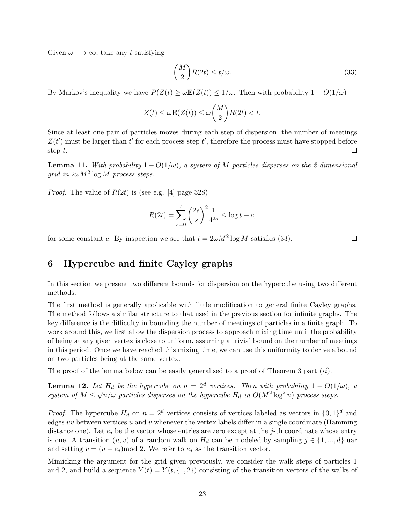Given  $\omega \longrightarrow \infty$ , take any t satisfying

$$
\binom{M}{2}R(2t) \le t/\omega. \tag{33}
$$

By Markov's inequality we have  $P(Z(t) \ge \omega \mathbf{E}(Z(t)) \le 1/\omega$ . Then with probability  $1 - O(1/\omega)$ 

$$
Z(t) \le \omega \mathbf{E}(Z(t)) \le \omega \binom{M}{2} R(2t) < t.
$$

Since at least one pair of particles moves during each step of dispersion, the number of meetings  $Z(t')$  must be larger than  $t'$  for each process step  $t'$ , therefore the process must have stopped before step t.  $\Box$ 

**Lemma 11.** With probability  $1 - O(1/\omega)$ , a system of M particles disperses on the 2-dimensional grid in  $2\omega M^2 \log M$  process steps.

*Proof.* The value of  $R(2t)$  is (see e.g. [4] page 328)

$$
R(2t) = \sum_{s=0}^{t} \binom{2s}{s}^2 \frac{1}{4^{2s}} \le \log t + c,
$$

for some constant c. By inspection we see that  $t = 2\omega M^2 \log M$  satisfies (33).

#### $\Box$

## 6 Hypercube and finite Cayley graphs

In this section we present two different bounds for dispersion on the hypercube using two different methods.

The first method is generally applicable with little modification to general finite Cayley graphs. The method follows a similar structure to that used in the previous section for infinite graphs. The key difference is the difficulty in bounding the number of meetings of particles in a finite graph. To work around this, we first allow the dispersion process to approach mixing time until the probability of being at any given vertex is close to uniform, assuming a trivial bound on the number of meetings in this period. Once we have reached this mixing time, we can use this uniformity to derive a bound on two particles being at the same vertex.

The proof of the lemma below can be easily generalised to a proof of Theorem 3 part (ii).

**Lemma 12.** Let  $H_d$  be the hypercube on  $n = 2^d$  vertices. Then with probability  $1 - O(1/\omega)$ , a **Definite 12.** Let  $H_d$  be the hypercube on  $n = 2$  bertices. Then with probability  $1 - O(1)$ <br>system of  $M \le \sqrt{n}/\omega$  particles disperses on the hypercube  $H_d$  in  $O(M^2 \log^2 n)$  process steps.

*Proof.* The hypercube  $H_d$  on  $n = 2^d$  vertices consists of vertices labeled as vectors in  $\{0, 1\}^d$  and edges uv between vertices  $u$  and  $v$  whenever the vertex labels differ in a single coordinate (Hamming distance one). Let  $e_j$  be the vector whose entries are zero except at the j-th coordinate whose entry is one. A transition  $(u, v)$  of a random walk on  $H_d$  can be modeled by sampling  $j \in \{1, ..., d\}$  uar and setting  $v = (u + e_j) \mod 2$ . We refer to  $e_j$  as the transition vector.

Mimicking the argument for the grid given previously, we consider the walk steps of particles 1 and 2, and build a sequence  $Y(t) = Y(t, \{1, 2\})$  consisting of the transition vectors of the walks of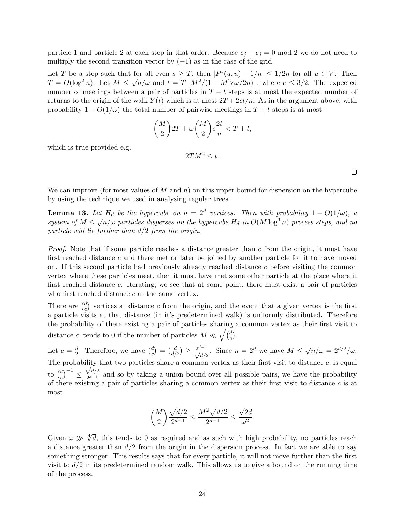particle 1 and particle 2 at each step in that order. Because  $e_j + e_j = 0 \mod 2$  we do not need to multiply the second transition vector by  $(-1)$  as in the case of the grid.

Let T be a step such that for all even  $s \geq T$ , then  $|P^s(u, u) - 1/n| \leq 1/2n$  for all  $u \in V$ . Then  $T = O(\log^2 n)$ . Let  $M \leq \sqrt{n}/\omega$  and  $t = T \left[ \frac{M^2}{(1 - M^2 c \omega/2n)} \right]$ , where  $c \leq 3/2$ . The expected number of meetings between a pair of particles in  $T + t$  steps is at most the expected number of returns to the origin of the walk  $Y(t)$  which is at most  $2T + 2ct/n$ . As in the argument above, with probability  $1 - O(1/\omega)$  the total number of pairwise meetings in  $T + t$  steps is at most

$$
\binom{M}{2}2T + \omega \binom{M}{2}c\frac{2t}{n} < T + t,
$$

which is true provided e.g.

$$
2TM^2 \leq t.
$$

 $\Box$ 

We can improve (for most values of M and n) on this upper bound for dispersion on the hypercube by using the technique we used in analysing regular trees.

**Lemma 13.** Let  $H_d$  be the hypercube on  $n = 2^d$  vertices. Then with probability  $1 - O(1/\omega)$ , a **Definite 13.** Let  $H_d$  be the hypercube on  $n = 2$  bertices. Then with probability  $1 - O(1/\omega)$ , a system of  $M \le \sqrt{n}/\omega$  particles disperses on the hypercube  $H_d$  in  $O(M \log^3 n)$  process steps, and no particle will lie further than  $d/2$  from the origin.

*Proof.* Note that if some particle reaches a distance greater than  $c$  from the origin, it must have first reached distance c and there met or later be joined by another particle for it to have moved on. If this second particle had previously already reached distance c before visiting the common vertex where these particles meet, then it must have met some other particle at the place where it first reached distance c. Iterating, we see that at some point, there must exist a pair of particles who first reached distance  $c$  at the same vertex.

There are  $\binom{d}{c}$  $c<sub>c</sub><sup>d</sup>$ ) vertices at distance c from the origin, and the event that a given vertex is the first a particle visits at that distance (in it's predetermined walk) is uniformly distributed. Therefore the probability of there existing a pair of particles sharing a common vertex as their first visit to distance c, tends to 0 if the number of particles  $M \ll \sqrt{\frac{d}{c}}$  $\binom{d}{c}$ .

Let  $c = \frac{d}{2}$  $\frac{d}{2}$ . Therefore, we have  $\binom{d}{c}$  $\binom{d}{c} \,=\, \binom{d}{d}$  $\frac{d}{d/2}$   $\geq \frac{2^{d-1}}{\sqrt{d/2}}$ . Since  $n = 2^d$  we have  $M \leq \sqrt{n}/\omega = 2^{d/2}/\omega$ . The probability that two particles share a common vertex as their first visit to distance c, is equal to  $\binom{d}{c}$  $\left(\begin{smallmatrix}d\ c\end{smallmatrix}\right)^{-1} \leq \frac{\sqrt{d/2}}{2^{d-1}}$  $\frac{\sqrt{a/2}}{2^{d-1}}$  and so by taking a union bound over all possible pairs, we have the probability of there existing a pair of particles sharing a common vertex as their first visit to distance c is at most

$$
\binom{M}{2} \frac{\sqrt{d/2}}{2^{d-1}} \le \frac{M^2 \sqrt{d/2}}{2^{d-1}} \le \frac{\sqrt{2d}}{\omega^2}.
$$

Given  $\omega \gg \sqrt[4]{d}$ , this tends to 0 as required and as such with high probability, no particles reach a distance greater than  $d/2$  from the origin in the dispersion process. In fact we are able to say something stronger. This results says that for every particle, it will not move further than the first visit to  $d/2$  in its predetermined random walk. This allows us to give a bound on the running time of the process.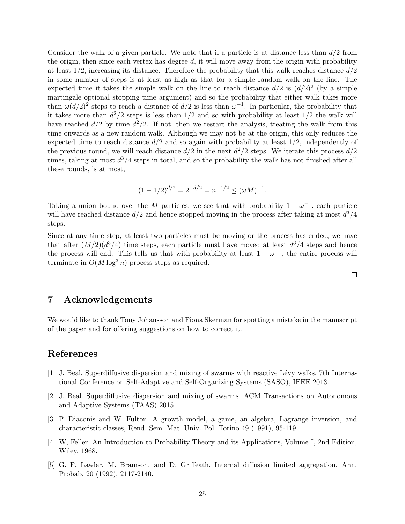Consider the walk of a given particle. We note that if a particle is at distance less than  $d/2$  from the origin, then since each vertex has degree  $d$ , it will move away from the origin with probability at least  $1/2$ , increasing its distance. Therefore the probability that this walk reaches distance  $d/2$ in some number of steps is at least as high as that for a simple random walk on the line. The expected time it takes the simple walk on the line to reach distance  $d/2$  is  $(d/2)^2$  (by a simple martingale optional stopping time argument) and so the probability that either walk takes more than  $\omega(d/2)^2$  steps to reach a distance of  $d/2$  is less than  $\omega^{-1}$ . In particular, the probability that it takes more than  $d^2/2$  steps is less than  $1/2$  and so with probability at least  $1/2$  the walk will have reached  $d/2$  by time  $d^2/2$ . If not, then we restart the analysis, treating the walk from this time onwards as a new random walk. Although we may not be at the origin, this only reduces the expected time to reach distance  $d/2$  and so again with probability at least  $1/2$ , independently of the previous round, we will reach distance  $d/2$  in the next  $d^2/2$  steps. We iterate this process  $d/2$ times, taking at most  $d^3/4$  steps in total, and so the probability the walk has not finished after all these rounds, is at most,

$$
(1 - 1/2)^{d/2} = 2^{-d/2} = n^{-1/2} \le (\omega M)^{-1}.
$$

Taking a union bound over the M particles, we see that with probability  $1 - \omega^{-1}$ , each particle will have reached distance  $d/2$  and hence stopped moving in the process after taking at most  $d^3/4$ steps.

Since at any time step, at least two particles must be moving or the process has ended, we have that after  $(M/2)(d^3/4)$  time steps, each particle must have moved at least  $d^3/4$  steps and hence the process will end. This tells us that with probability at least  $1 - \omega^{-1}$ , the entire process will terminate in  $O(M \log^3 n)$  process steps as required.

 $\Box$ 

### 7 Acknowledgements

We would like to thank Tony Johansson and Fiona Skerman for spotting a mistake in the manuscript of the paper and for offering suggestions on how to correct it.

## References

- [1] J. Beal. Superdiffusive dispersion and mixing of swarms with reactive L´evy walks. 7th International Conference on Self-Adaptive and Self-Organizing Systems (SASO), IEEE 2013.
- [2] J. Beal. Superdiffusive dispersion and mixing of swarms. ACM Transactions on Autonomous and Adaptive Systems (TAAS) 2015.
- [3] P. Diaconis and W. Fulton. A growth model, a game, an algebra, Lagrange inversion, and characteristic classes, Rend. Sem. Mat. Univ. Pol. Torino 49 (1991), 95-119.
- [4] W, Feller. An Introduction to Probability Theory and its Applications, Volume I, 2nd Edition, Wiley, 1968.
- [5] G. F. Lawler, M. Bramson, and D. Griffeath. Internal diffusion limited aggregation, Ann. Probab. 20 (1992), 2117-2140.